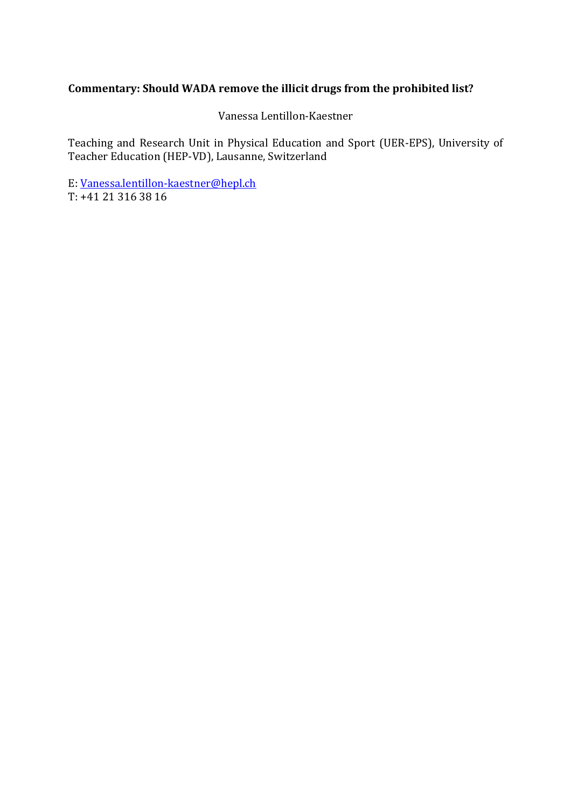# Commentary: Should WADA remove the illicit drugs from the prohibited list?

Vanessa Lentillon-Kaestner

Teaching and Research Unit in Physical Education and Sport (UER-EPS), University of Teacher Education (HEP-VD), Lausanne, Switzerland

E: Vanessa.lentillon-kaestner@hepl.ch T: +41 21 316 38 16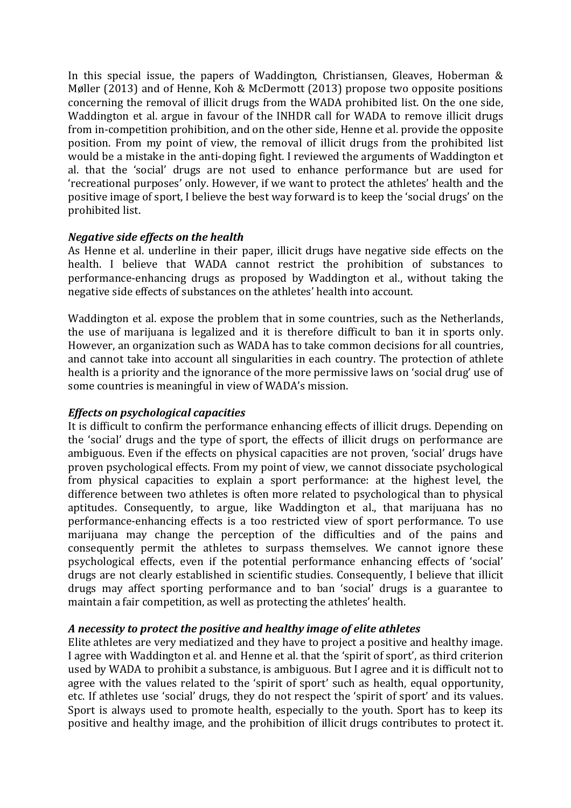In this special issue, the papers of Waddington, Christiansen, Gleaves, Hoberman  $&$ Møller (2013) and of Henne, Koh & McDermott (2013) propose two opposite positions concerning the removal of illicit drugs from the WADA prohibited list. On the one side, Waddington et al. argue in favour of the INHDR call for WADA to remove illicit drugs from in-competition prohibition, and on the other side, Henne et al. provide the opposite position. From my point of view, the removal of illicit drugs from the prohibited list would be a mistake in the anti-doping fight. I reviewed the arguments of Waddington et al. that the 'social' drugs are not used to enhance performance but are used for 'recreational purposes' only. However, if we want to protect the athletes' health and the positive image of sport, I believe the best way forward is to keep the 'social drugs' on the prohibited list.

## *Negative side effects on the health*

As Henne et al. underline in their paper, illicit drugs have negative side effects on the health. I believe that WADA cannot restrict the prohibition of substances to performance-enhancing drugs as proposed by Waddington et al., without taking the negative side effects of substances on the athletes' health into account.

Waddington et al. expose the problem that in some countries, such as the Netherlands, the use of marijuana is legalized and it is therefore difficult to ban it in sports only. However, an organization such as WADA has to take common decisions for all countries, and cannot take into account all singularities in each country. The protection of athlete health is a priority and the ignorance of the more permissive laws on 'social drug' use of some countries is meaningful in view of WADA's mission.

## *Effects on psychological capacities*

It is difficult to confirm the performance enhancing effects of illicit drugs. Depending on the 'social' drugs and the type of sport, the effects of illicit drugs on performance are ambiguous. Even if the effects on physical capacities are not proven, 'social' drugs have proven psychological effects. From my point of view, we cannot dissociate psychological from physical capacities to explain a sport performance: at the highest level, the difference between two athletes is often more related to psychological than to physical aptitudes. Consequently, to argue, like Waddington et al., that marijuana has no performance-enhancing effects is a too restricted view of sport performance. To use marijuana may change the perception of the difficulties and of the pains and consequently permit the athletes to surpass themselves. We cannot ignore these psychological effects, even if the potential performance enhancing effects of 'social' drugs are not clearly established in scientific studies. Consequently, I believe that illicit drugs may affect sporting performance and to ban 'social' drugs is a guarantee to maintain a fair competition, as well as protecting the athletes' health.

## *A* necessity to protect the positive and healthy image of elite athletes

Elite athletes are very mediatized and they have to project a positive and healthy image. I agree with Waddington et al. and Henne et al. that the 'spirit of sport', as third criterion used by WADA to prohibit a substance, is ambiguous. But I agree and it is difficult not to agree with the values related to the 'spirit of sport' such as health, equal opportunity, etc. If athletes use 'social' drugs, they do not respect the 'spirit of sport' and its values. Sport is always used to promote health, especially to the youth. Sport has to keep its positive and healthy image, and the prohibition of illicit drugs contributes to protect it.